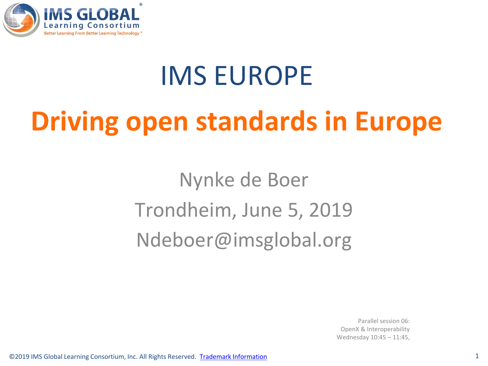

## IMS EUROPE **Driving open standards in Europe**

Nynke de Boer Trondheim, June 5, 2019 Ndeboer@imsglobal.org

> Parallel session 06: OpenX & Interoperability Wednesday 10:45 – 11:45,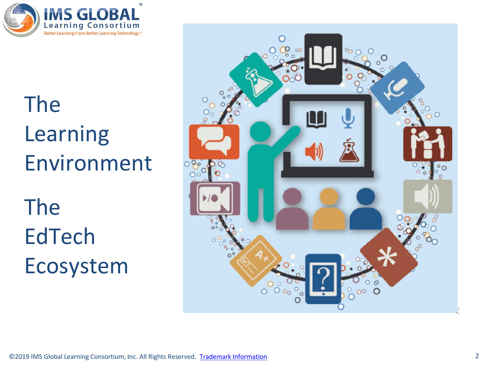

### The Learning Environment

The EdTech Ecosystem

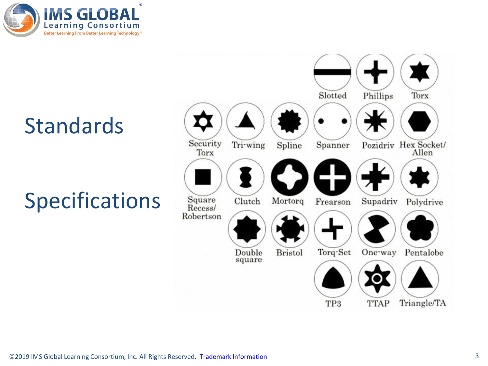

### Standards

### Specifications

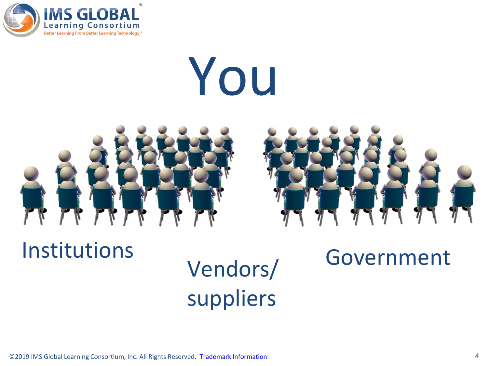

# You





### Institutions

### Vendors/ suppliers

### Government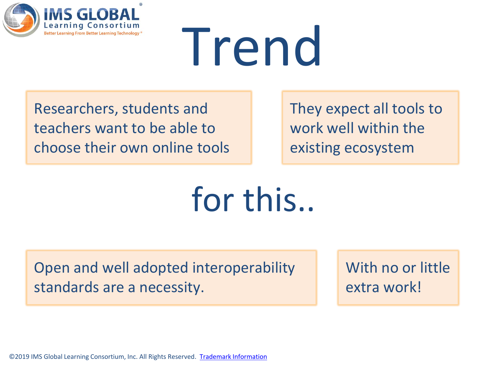



Researchers, students and teachers want to be able to choose their own online tools They expect all tools to work well within the existing ecosystem

for this..

Open and well adopted interoperability standards are a necessity.

With no or little extra work!

©2019 IMS Global Learning Consortium, Inc. All Rights Reserved. [Trademark Information](https://www.imsglobal.org/trademarks) <sup>5</sup>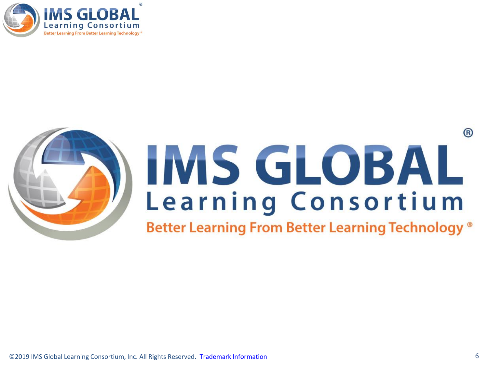



## ® IMS GLOBAL<br>Learning Consortium

Better Learning From Better Learning Technology ®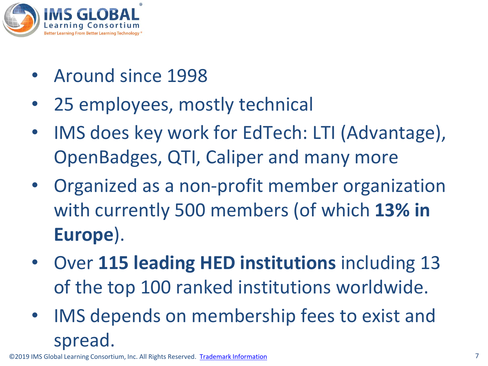

- Around since 1998
- 25 employees, mostly technical
- IMS does key work for EdTech: LTI (Advantage), OpenBadges, QTI, Caliper and many more
- Organized as a non-profit member organization with currently 500 members (of which **13% in Europe**).
- Over **115 leading HED institutions** including 13 of the top 100 ranked institutions worldwide.
- IMS depends on membership fees to exist and spread.

©2019 IMS Global Learning Consortium, Inc. All Rights Reserved. [Trademark Information](https://www.imsglobal.org/trademarks)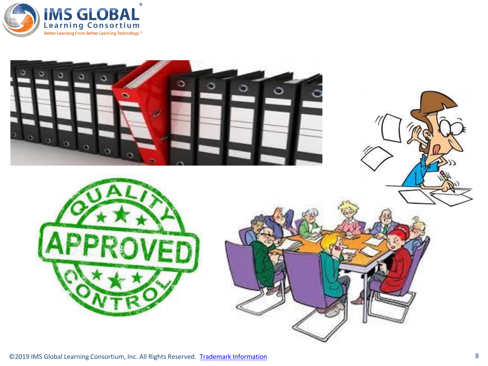

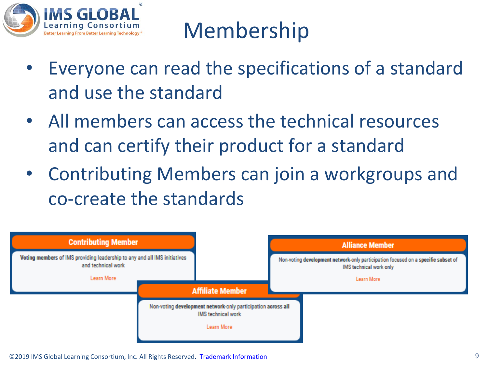

### Membership

- Everyone can read the specifications of a standard and use the standard
- All members can access the technical resources and can certify their product for a standard
- Contributing Members can join a workgroups and co-create the standards



©2019 IMS Global Learning Consortium, Inc. All Rights Reserved. [Trademark Information](https://www.imsglobal.org/trademarks)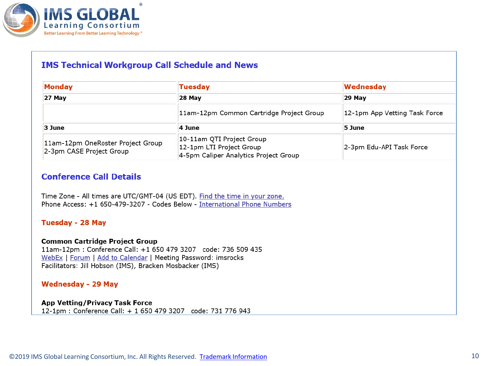

#### **IMS Technical Workgroup Call Schedule and News**

| <b>Monday</b>                                                 | <b>Tuesday</b>                                                                                 | Wednesday                     |
|---------------------------------------------------------------|------------------------------------------------------------------------------------------------|-------------------------------|
| 27 May                                                        | 28 May                                                                                         | <b>29 May</b>                 |
|                                                               | 11am-12pm Common Cartridge Project Group                                                       | 12-1pm App Vetting Task Force |
| 3 June                                                        | 4 June                                                                                         | 5 June                        |
| 11am-12pm OneRoster Project Group<br>2-3pm CASE Project Group | 10-11am QTI Project Group<br>12-1pm LTI Project Group<br>4-5pm Caliper Analytics Project Group | 2-3pm Edu-API Task Force      |

#### **Conference Call Details**

Time Zone - All times are UTC/GMT-04 (US EDT). Find the time in your zone. Phone Access: +1 650-479-3207 - Codes Below - International Phone Numbers

#### **Tuesday - 28 May**

#### **Common Cartridge Project Group**

11am-12pm: Conference Call: +1 650 479 3207 code: 736 509 435 WebEx | Forum | Add to Calendar | Meeting Password: imsrocks Facilitators: Jill Hobson (IMS), Bracken Mosbacker (IMS)

#### **Wednesday - 29 May**

#### **App Vetting/Privacy Task Force**

12-1pm : Conference Call: + 1 650 479 3207 code: 731 776 943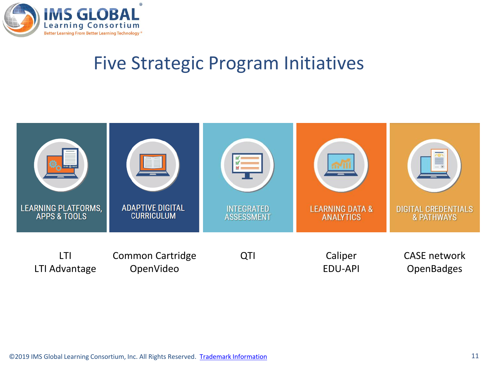

### Five Strategic Program Initiatives

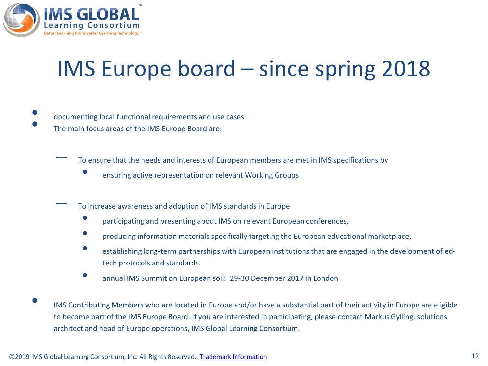

### IMS Europe board – since spring 2018

- documenting local functional requirements and use cases The main focus areas of the IMS Europe Board are:
	- To ensure that the needs and interests of European members are met in IMS specifications by
		- ensuring active representation on relevant Working Groups
		- To increase awareness and adoption of IMS standards in Europe
			- participating and presenting about IMS on relevant European conferences,
			- producing information materials specifically targeting the European educational marketplace,
			- establishing long-term partnerships with European institutions that are engaged in the development of edtech protocols and standards.
			- annual IMS Summit on European soil: 29-30 December 2017 in London
- IMS Contributing Members who are located in Europe and/or have a substantial part of their activity in Europe are eligible to become part of the IMS Europe Board. If you are interested in participating, please contact Markus Gylling, solutions architect and head of Europe operations, IMS Global Learning Consortium.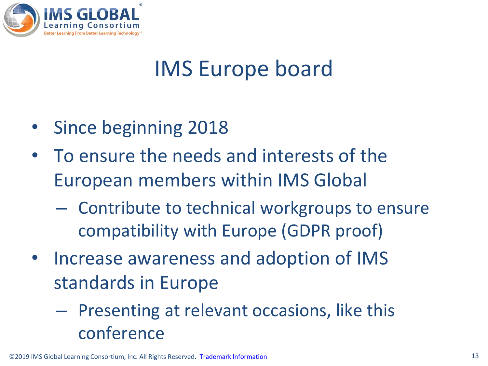

### IMS Europe board

- Since beginning 2018
- To ensure the needs and interests of the European members within IMS Global
	- Contribute to technical workgroups to ensure compatibility with Europe (GDPR proof)
- Increase awareness and adoption of IMS standards in Europe
	- Presenting at relevant occasions, like this conference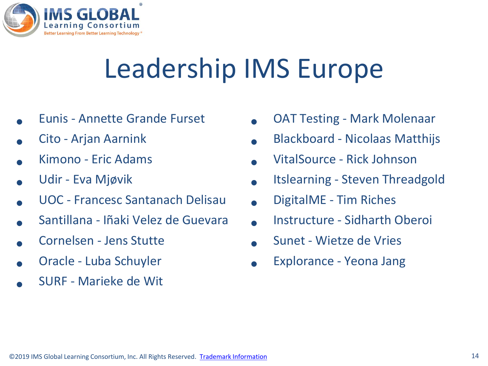

### Leadership IMS Europe

- Eunis - Annette Grande Furset
- Cito - Arjan Aarnink
- Kimono - Eric Adams
- Udir - Eva Mjøvik
- UOC - Francesc Santanach Delisau
- Santillana - Iñaki Velez de Guevara
- Cornelsen - Jens Stutte
- Oracle - Luba Schuyler
- SURF - Marieke de Wit
- OAT Testing - Mark Molenaar
- Blackboard - Nicolaas Matthijs
- VitalSource - Rick Johnson
- Itslearning - Steven Threadgold
- DigitalME - Tim Riches
- Instructure - Sidharth Oberoi
- Sunet - Wietze de Vries
- Explorance - Yeona Jang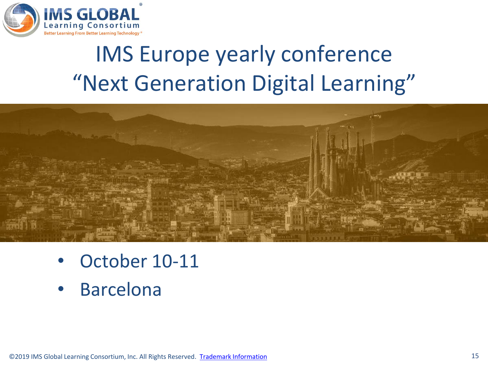

### IMS Europe yearly conference "Next Generation Digital Learning"



- October 10-11
- **Barcelona**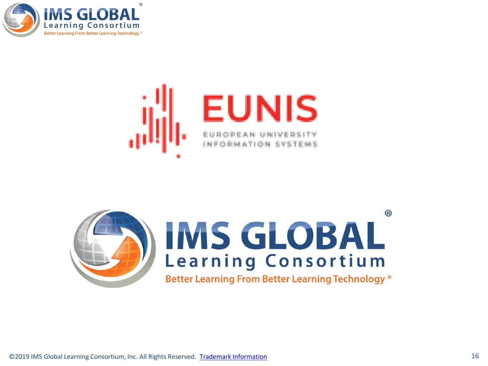



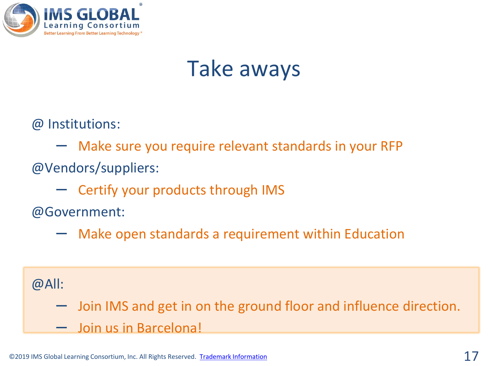

### Take aways

@ Institutions:

- Make sure you require relevant standards in your RFP
- @Vendors/suppliers:
	- Certify your products through IMS

@Government:

– Make open standards a requirement within Education

#### @All:

- Join IMS and get in on the ground floor and influence direction.
- Join us in Barcelona!